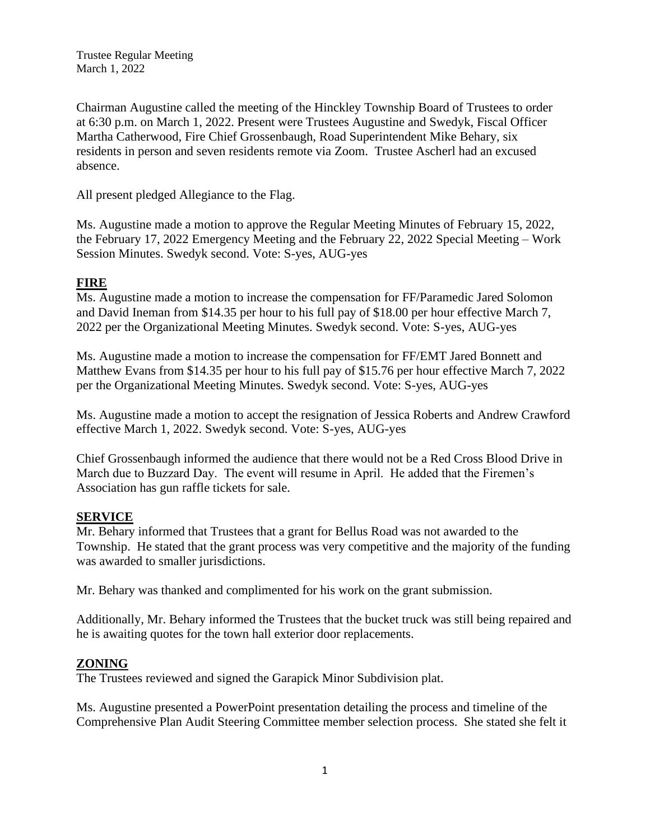Trustee Regular Meeting March 1, 2022

Chairman Augustine called the meeting of the Hinckley Township Board of Trustees to order at 6:30 p.m. on March 1, 2022. Present were Trustees Augustine and Swedyk, Fiscal Officer Martha Catherwood, Fire Chief Grossenbaugh, Road Superintendent Mike Behary, six residents in person and seven residents remote via Zoom. Trustee Ascherl had an excused absence.

All present pledged Allegiance to the Flag.

Ms. Augustine made a motion to approve the Regular Meeting Minutes of February 15, 2022, the February 17, 2022 Emergency Meeting and the February 22, 2022 Special Meeting – Work Session Minutes. Swedyk second. Vote: S-yes, AUG-yes

### **FIRE**

Ms. Augustine made a motion to increase the compensation for FF/Paramedic Jared Solomon and David Ineman from \$14.35 per hour to his full pay of \$18.00 per hour effective March 7, 2022 per the Organizational Meeting Minutes. Swedyk second. Vote: S-yes, AUG-yes

Ms. Augustine made a motion to increase the compensation for FF/EMT Jared Bonnett and Matthew Evans from \$14.35 per hour to his full pay of \$15.76 per hour effective March 7, 2022 per the Organizational Meeting Minutes. Swedyk second. Vote: S-yes, AUG-yes

Ms. Augustine made a motion to accept the resignation of Jessica Roberts and Andrew Crawford effective March 1, 2022. Swedyk second. Vote: S-yes, AUG-yes

Chief Grossenbaugh informed the audience that there would not be a Red Cross Blood Drive in March due to Buzzard Day. The event will resume in April. He added that the Firemen's Association has gun raffle tickets for sale.

#### **SERVICE**

Mr. Behary informed that Trustees that a grant for Bellus Road was not awarded to the Township. He stated that the grant process was very competitive and the majority of the funding was awarded to smaller jurisdictions.

Mr. Behary was thanked and complimented for his work on the grant submission.

Additionally, Mr. Behary informed the Trustees that the bucket truck was still being repaired and he is awaiting quotes for the town hall exterior door replacements.

#### **ZONING**

The Trustees reviewed and signed the Garapick Minor Subdivision plat.

Ms. Augustine presented a PowerPoint presentation detailing the process and timeline of the Comprehensive Plan Audit Steering Committee member selection process. She stated she felt it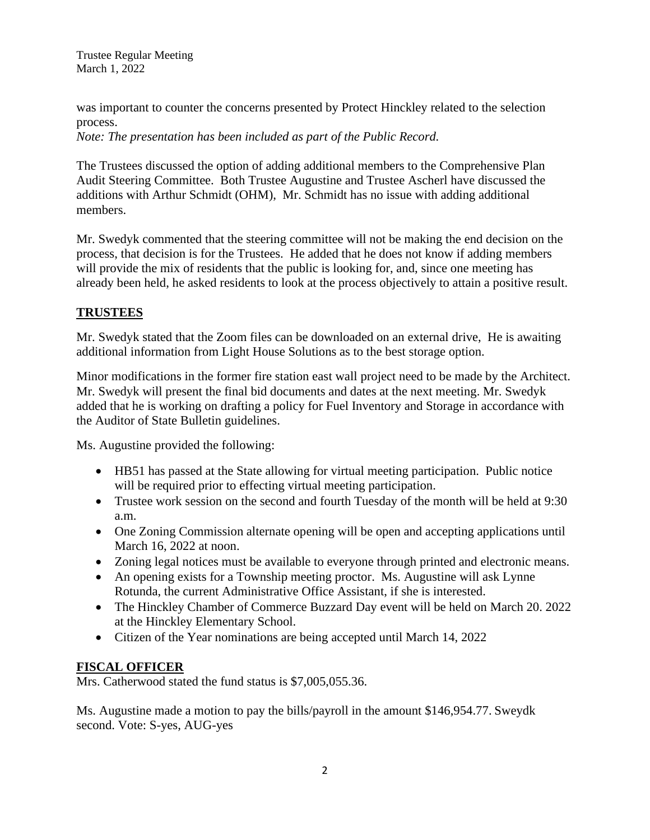Trustee Regular Meeting March 1, 2022

was important to counter the concerns presented by Protect Hinckley related to the selection process.

*Note: The presentation has been included as part of the Public Record.*

The Trustees discussed the option of adding additional members to the Comprehensive Plan Audit Steering Committee. Both Trustee Augustine and Trustee Ascherl have discussed the additions with Arthur Schmidt (OHM), Mr. Schmidt has no issue with adding additional members.

Mr. Swedyk commented that the steering committee will not be making the end decision on the process, that decision is for the Trustees. He added that he does not know if adding members will provide the mix of residents that the public is looking for, and, since one meeting has already been held, he asked residents to look at the process objectively to attain a positive result.

## **TRUSTEES**

Mr. Swedyk stated that the Zoom files can be downloaded on an external drive, He is awaiting additional information from Light House Solutions as to the best storage option.

Minor modifications in the former fire station east wall project need to be made by the Architect. Mr. Swedyk will present the final bid documents and dates at the next meeting. Mr. Swedyk added that he is working on drafting a policy for Fuel Inventory and Storage in accordance with the Auditor of State Bulletin guidelines.

Ms. Augustine provided the following:

- HB51 has passed at the State allowing for virtual meeting participation. Public notice will be required prior to effecting virtual meeting participation.
- Trustee work session on the second and fourth Tuesday of the month will be held at 9:30 a.m.
- One Zoning Commission alternate opening will be open and accepting applications until March 16, 2022 at noon.
- Zoning legal notices must be available to everyone through printed and electronic means.
- An opening exists for a Township meeting proctor. Ms. Augustine will ask Lynne Rotunda, the current Administrative Office Assistant, if she is interested.
- The Hinckley Chamber of Commerce Buzzard Day event will be held on March 20. 2022 at the Hinckley Elementary School.
- Citizen of the Year nominations are being accepted until March 14, 2022

## **FISCAL OFFICER**

Mrs. Catherwood stated the fund status is \$7,005,055.36.

Ms. Augustine made a motion to pay the bills/payroll in the amount \$146,954.77. Sweydk second. Vote: S-yes, AUG-yes